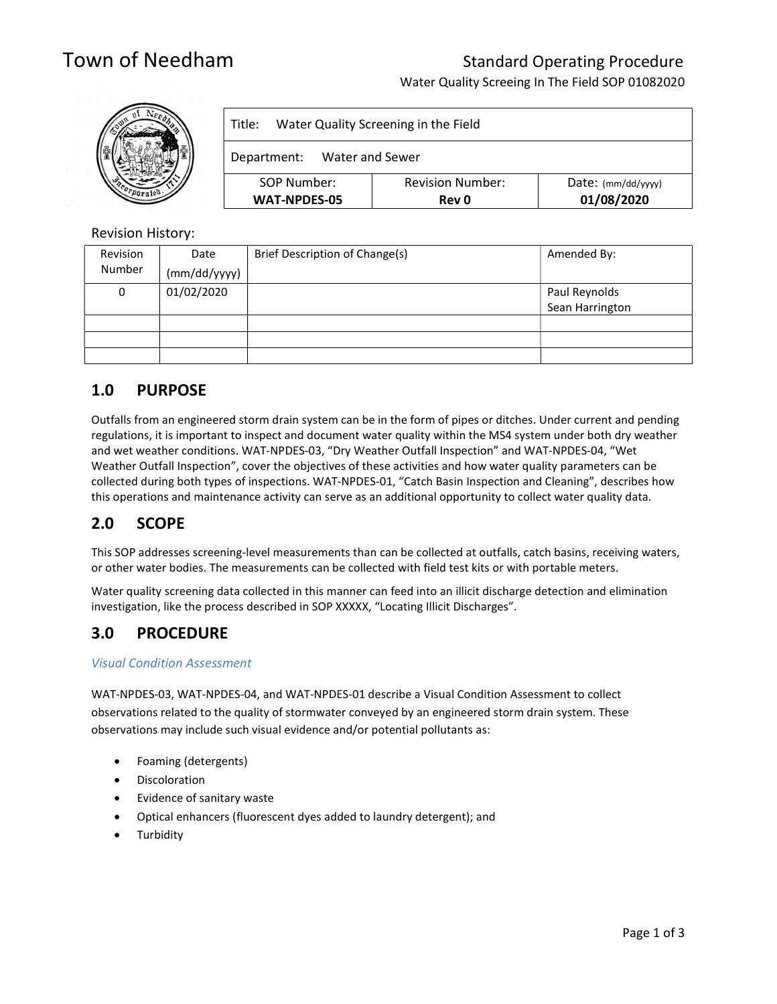# Town of Needham Standard Operating Procedure

Water Quality Screeing In The Field SOP 01082020



### Revision History:

| Revision | Date         | Brief Description of Change(s) | Amended By:     |
|----------|--------------|--------------------------------|-----------------|
| Number   | (mm/dd/yyyy) |                                |                 |
| 0        | 01/02/2020   |                                | Paul Reynolds   |
|          |              |                                | Sean Harrington |
|          |              |                                |                 |
|          |              |                                |                 |
|          |              |                                |                 |

## 1.0 PURPOSE

Outfalls from an engineered storm drain system can be in the form of pipes or ditches. Under current and pending regulations, it is important to inspect and document water quality within the MS4 system under both dry weather and wet weather conditions. WAT-NPDES-03, "Dry Weather Outfall Inspection" and WAT-NPDES-04, "Wet Weather Outfall Inspection", cover the objectives of these activities and how water quality parameters can be collected during both types of inspections. WAT-NPDES-01, "Catch Basin Inspection and Cleaning", describes how this operations and maintenance activity can serve as an additional opportunity to collect water quality data.

## 2.0 SCOPE

This SOP addresses screening-level measurements than can be collected at outfalls, catch basins, receiving waters, or other water bodies. The measurements can be collected with field test kits or with portable meters.

Water quality screening data collected in this manner can feed into an illicit discharge detection and elimination investigation, like the process described in SOP XXXXX, "Locating Illicit Discharges".

## 3.0 PROCEDURE

### Visual Condition Assessment

WAT-NPDES-03, WAT-NPDES-04, and WAT-NPDES-01 describe a Visual Condition Assessment to collect observations related to the quality of stormwater conveyed by an engineered storm drain system. These observations may include such visual evidence and/or potential pollutants as:

- Foaming (detergents)
- Discoloration
- Evidence of sanitary waste
- Optical enhancers (fluorescent dyes added to laundry detergent); and
- **Turbidity**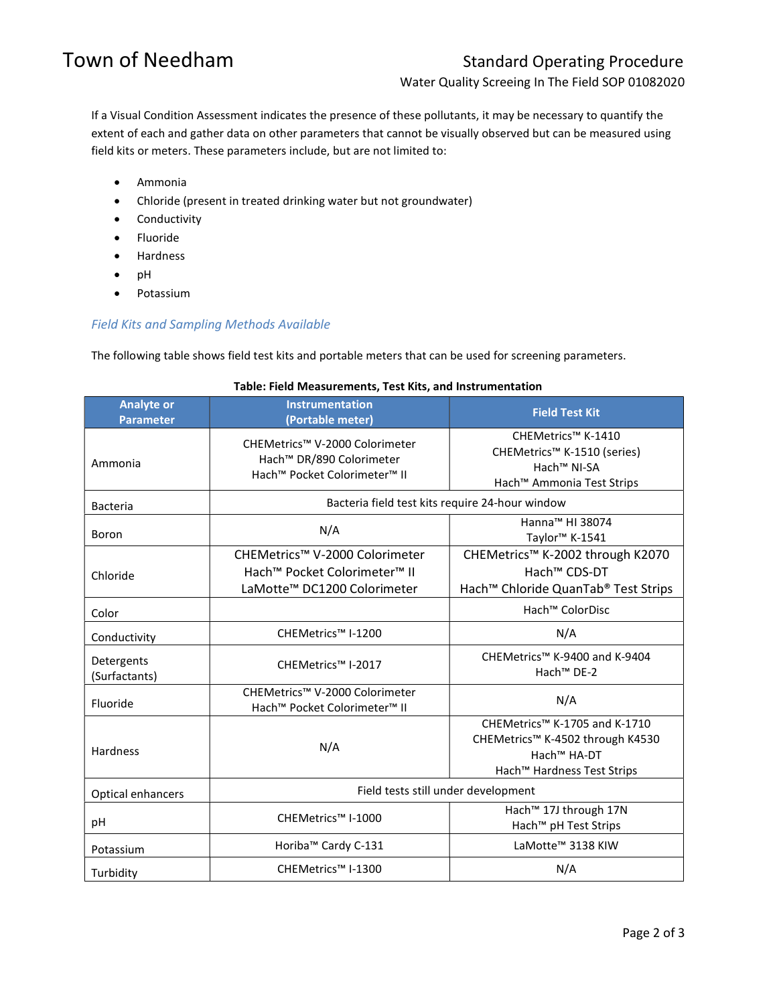# Town of Needham Standard Operating Procedure

Water Quality Screeing In The Field SOP 01082020

If a Visual Condition Assessment indicates the presence of these pollutants, it may be necessary to quantify the extent of each and gather data on other parameters that cannot be visually observed but can be measured using field kits or meters. These parameters include, but are not limited to:

- Ammonia
- Chloride (present in treated drinking water but not groundwater)
- Conductivity
- Fluoride
- Hardness
- pH
- Potassium

### Field Kits and Sampling Methods Available

The following table shows field test kits and portable meters that can be used for screening parameters.

| <b>Analyte or</b><br><b>Parameter</b> | <b>Instrumentation</b><br>(Portable meter)                                                                            | <b>Field Test Kit</b>                                                                                                                  |  |
|---------------------------------------|-----------------------------------------------------------------------------------------------------------------------|----------------------------------------------------------------------------------------------------------------------------------------|--|
| Ammonia                               | CHEMetrics™ V-2000 Colorimeter<br>Hach™ DR/890 Colorimeter<br>Hach <sup>™</sup> Pocket Colorimeter <sup>™</sup> II    | CHEMetrics™ K-1410<br>CHEMetrics™ K-1510 (series)<br>Hach <sup>™</sup> NI-SA<br>Hach <sup>™</sup> Ammonia Test Strips                  |  |
| <b>Bacteria</b>                       | Bacteria field test kits require 24-hour window                                                                       |                                                                                                                                        |  |
| Boron                                 | N/A                                                                                                                   | Hanna™ HI 38074<br>Taylor <sup>™</sup> K-1541                                                                                          |  |
| Chloride                              | CHEMetrics™ V-2000 Colorimeter<br>Hach <sup>™</sup> Pocket Colorimeter <sup>™</sup> II<br>LaMotte™ DC1200 Colorimeter | CHEMetrics™ K-2002 through K2070<br>Hach <sup>™</sup> CDS-DT<br>Hach <sup>™</sup> Chloride QuanTab <sup>®</sup> Test Strips            |  |
| Color                                 |                                                                                                                       | Hach <sup>™</sup> ColorDisc                                                                                                            |  |
| Conductivity                          | CHEMetrics™ I-1200                                                                                                    | N/A                                                                                                                                    |  |
| Detergents<br>(Surfactants)           | CHEMetrics™ I-2017                                                                                                    | CHEMetrics™ K-9400 and K-9404<br>Hach <sup>™</sup> DE-2                                                                                |  |
| Fluoride                              | CHEMetrics™ V-2000 Colorimeter<br>Hach™ Pocket Colorimeter™ II                                                        | N/A                                                                                                                                    |  |
| Hardness                              | N/A                                                                                                                   | CHEMetrics™ K-1705 and K-1710<br>CHEMetrics™ K-4502 through K4530<br>Hach <sup>™</sup> HA-DT<br>Hach <sup>™</sup> Hardness Test Strips |  |
| Optical enhancers                     | Field tests still under development                                                                                   |                                                                                                                                        |  |
| pH                                    | CHEMetrics™ I-1000                                                                                                    | Hach <sup>™</sup> 17J through 17N<br>Hach <sup>™</sup> pH Test Strips                                                                  |  |
| Potassium                             | Horiba™ Cardy C-131                                                                                                   | LaMotte <sup>™</sup> 3138 KIW                                                                                                          |  |
| Turbidity                             | CHEMetrics™ I-1300                                                                                                    | N/A                                                                                                                                    |  |